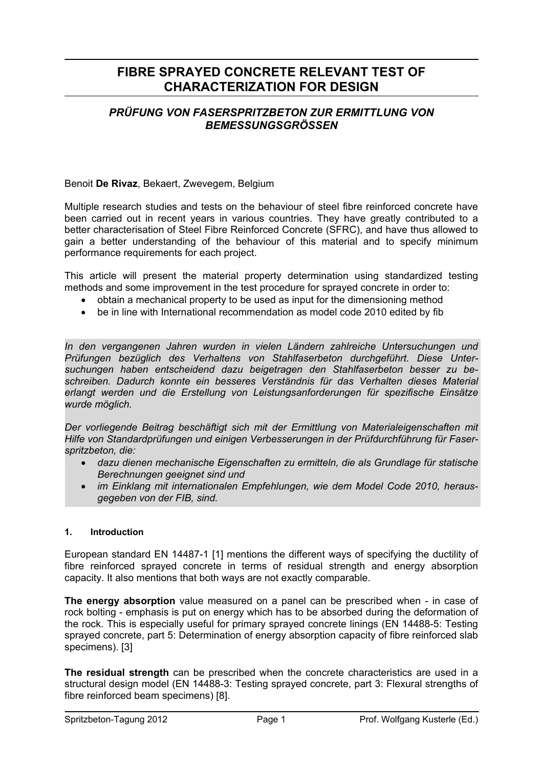# **FIBRE SPRAYED CONCRETE RELEVANT TEST OF CHARACTERIZATION FOR DESIGN**

# *PRÜFUNG VON FASERSPRITZBETON ZUR ERMITTLUNG VON BEMESSUNGSGRÖSSEN*

Benoit **De Rivaz**, Bekaert, Zwevegem, Belgium

Multiple research studies and tests on the behaviour of steel fibre reinforced concrete have been carried out in recent years in various countries. They have greatly contributed to a better characterisation of Steel Fibre Reinforced Concrete (SFRC), and have thus allowed to gain a better understanding of the behaviour of this material and to specify minimum performance requirements for each project.

This article will present the material property determination using standardized testing methods and some improvement in the test procedure for sprayed concrete in order to:

- obtain a mechanical property to be used as input for the dimensioning method
- be in line with International recommendation as model code 2010 edited by fib

*In den vergangenen Jahren wurden in vielen Ländern zahlreiche Untersuchungen und Prüfungen bezüglich des Verhaltens von Stahlfaserbeton durchgeführt. Diese Untersuchungen haben entscheidend dazu beigetragen den Stahlfaserbeton besser zu beschreiben. Dadurch konnte ein besseres Verständnis für das Verhalten dieses Material erlangt werden und die Erstellung von Leistungsanforderungen für spezifische Einsätze wurde möglich.* 

*Der vorliegende Beitrag beschäftigt sich mit der Ermittlung von Materialeigenschaften mit Hilfe von Standardprüfungen und einigen Verbesserungen in der Prüfdurchführung für Faserspritzbeton, die:* 

- *dazu dienen mechanische Eigenschaften zu ermitteln, die als Grundlage für statische Berechnungen geeignet sind und*
- *im Einklang mit internationalen Empfehlungen, wie dem Model Code 2010, herausgegeben von der FIB, sind.*

#### **1. Introduction**

European standard EN 14487-1 [1] mentions the different ways of specifying the ductility of fibre reinforced sprayed concrete in terms of residual strength and energy absorption capacity. It also mentions that both ways are not exactly comparable.

**The energy absorption** value measured on a panel can be prescribed when - in case of rock bolting - emphasis is put on energy which has to be absorbed during the deformation of the rock. This is especially useful for primary sprayed concrete linings (EN 14488-5: Testing sprayed concrete, part 5: Determination of energy absorption capacity of fibre reinforced slab specimens). [3]

**The residual strength** can be prescribed when the concrete characteristics are used in a structural design model (EN 14488-3: Testing sprayed concrete, part 3: Flexural strengths of fibre reinforced beam specimens) [8].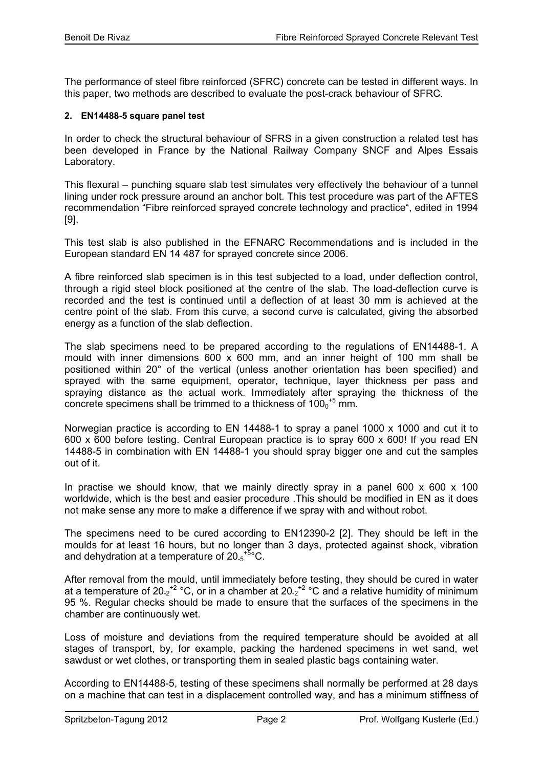The performance of steel fibre reinforced (SFRC) concrete can be tested in different ways. In this paper, two methods are described to evaluate the post-crack behaviour of SFRC.

### **2. EN14488-5 square panel test**

In order to check the structural behaviour of SFRS in a given construction a related test has been developed in France by the National Railway Company SNCF and Alpes Essais Laboratory.

This flexural – punching square slab test simulates very effectively the behaviour of a tunnel lining under rock pressure around an anchor bolt. This test procedure was part of the AFTES recommendation "Fibre reinforced sprayed concrete technology and practice", edited in 1994 [9].

This test slab is also published in the EFNARC Recommendations and is included in the European standard EN 14 487 for sprayed concrete since 2006.

A fibre reinforced slab specimen is in this test subjected to a load, under deflection control, through a rigid steel block positioned at the centre of the slab. The load-deflection curve is recorded and the test is continued until a deflection of at least 30 mm is achieved at the centre point of the slab. From this curve, a second curve is calculated, giving the absorbed energy as a function of the slab deflection.

The slab specimens need to be prepared according to the regulations of EN14488-1. A mould with inner dimensions 600 x 600 mm, and an inner height of 100 mm shall be positioned within 20° of the vertical (unless another orientation has been specified) and sprayed with the same equipment, operator, technique, layer thickness per pass and spraying distance as the actual work. Immediately after spraying the thickness of the concrete specimens shall be trimmed to a thickness of  $100<sub>0</sub>$ <sup>+5</sup> mm.

Norwegian practice is according to EN 14488-1 to spray a panel 1000 x 1000 and cut it to 600 x 600 before testing. Central European practice is to spray 600 x 600! If you read EN 14488-5 in combination with EN 14488-1 you should spray bigger one and cut the samples out of it.

In practise we should know, that we mainly directly spray in a panel 600  $\times$  600  $\times$  100 worldwide, which is the best and easier procedure .This should be modified in EN as it does not make sense any more to make a difference if we spray with and without robot.

The specimens need to be cured according to EN12390-2 [2]. They should be left in the moulds for at least 16 hours, but no longer than 3 days, protected against shock, vibration and dehydration at a temperature of  $20.5$ <sup>+5</sup>°C.

After removal from the mould, until immediately before testing, they should be cured in water at a temperature of 20.2<sup>+2</sup> °C, or in a chamber at 20.2<sup>+2</sup> °C and a relative humidity of minimum 95 %. Regular checks should be made to ensure that the surfaces of the specimens in the chamber are continuously wet.

Loss of moisture and deviations from the required temperature should be avoided at all stages of transport, by, for example, packing the hardened specimens in wet sand, wet sawdust or wet clothes, or transporting them in sealed plastic bags containing water.

According to EN14488-5, testing of these specimens shall normally be performed at 28 days on a machine that can test in a displacement controlled way, and has a minimum stiffness of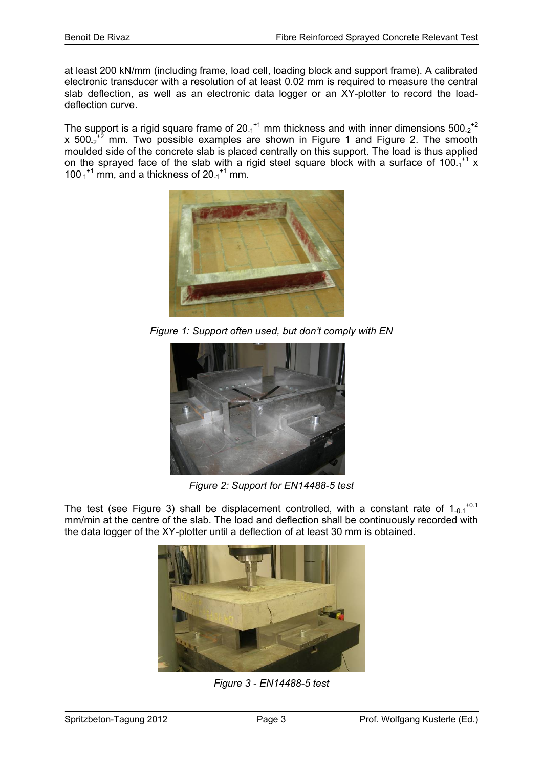at least 200 kN/mm (including frame, load cell, loading block and support frame). A calibrated electronic transducer with a resolution of at least 0.02 mm is required to measure the central slab deflection, as well as an electronic data logger or an XY-plotter to record the loaddeflection curve.

The support is a rigid square frame of 20.1<sup>+1</sup> mm thickness and with inner dimensions 500.<sub>2</sub><sup>+2</sup> x 500 $2^2$  mm. Two possible examples are shown in Figure 1 and Figure 2. The smooth moulded side of the concrete slab is placed centrally on this support. The load is thus applied on the sprayed face of the slab with a rigid steel square block with a surface of  $100<sub>-1</sub>^{+1}$  x 100 $_1$ <sup>+1</sup> mm, and a thickness of 20 $_1$ <sup>+1</sup> mm.



*Figure 1: Support often used, but don't comply with EN* 



*Figure 2: Support for EN14488-5 test* 

The test (see Figure 3) shall be displacement controlled, with a constant rate of  $1_{-0.1}$ <sup>+0.1</sup> mm/min at the centre of the slab. The load and deflection shall be continuously recorded with the data logger of the XY-plotter until a deflection of at least 30 mm is obtained.



*Figure 3 - EN14488-5 test*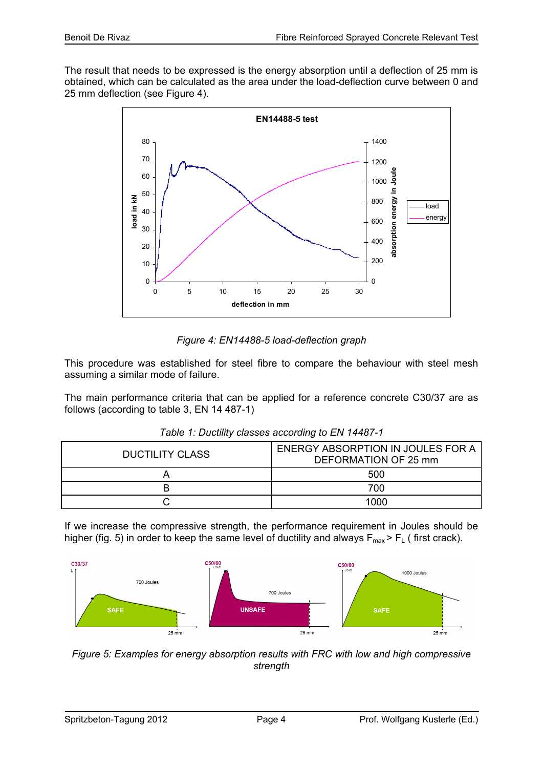The result that needs to be expressed is the energy absorption until a deflection of 25 mm is obtained, which can be calculated as the area under the load-deflection curve between 0 and 25 mm deflection (see Figure 4).



*Figure 4: EN14488-5 load-deflection graph* 

This procedure was established for steel fibre to compare the behaviour with steel mesh assuming a similar mode of failure.

The main performance criteria that can be applied for a reference concrete C30/37 are as follows (according to table 3, EN 14 487-1)

| <b>DUCTILITY CLASS</b> | ENERGY ABSORPTION IN JOULES FOR A<br>DEFORMATION OF 25 mm |
|------------------------|-----------------------------------------------------------|
|                        | 500                                                       |
|                        | 700                                                       |
|                        | 1000                                                      |

| Table 1: Ductility classes according to EN 14487-1 |  |  |  |  |
|----------------------------------------------------|--|--|--|--|
|----------------------------------------------------|--|--|--|--|

If we increase the compressive strength, the performance requirement in Joules should be higher (fig. 5) in order to keep the same level of ductility and always  $F_{max}$  >  $F_L$  (first crack).



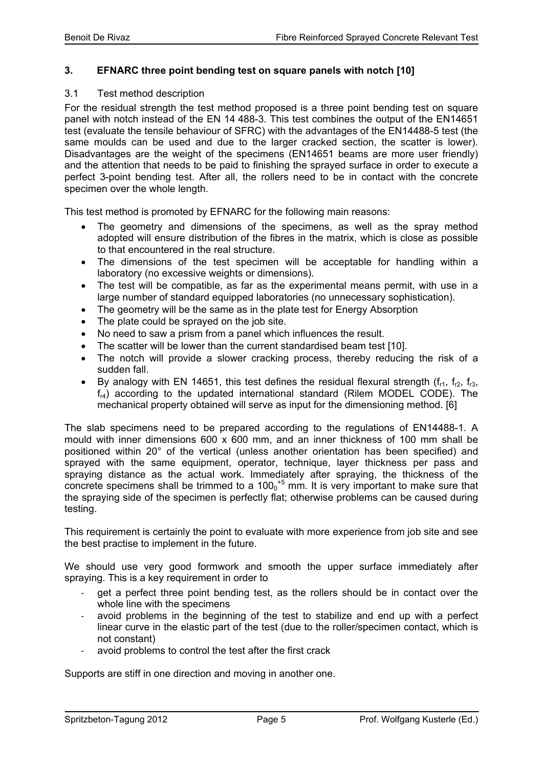# **3. EFNARC three point bending test on square panels with notch [10]**

### 3.1 Test method description

For the residual strength the test method proposed is a three point bending test on square panel with notch instead of the EN 14 488-3. This test combines the output of the EN14651 test (evaluate the tensile behaviour of SFRC) with the advantages of the EN14488-5 test (the same moulds can be used and due to the larger cracked section, the scatter is lower). Disadvantages are the weight of the specimens (EN14651 beams are more user friendly) and the attention that needs to be paid to finishing the sprayed surface in order to execute a perfect 3-point bending test. After all, the rollers need to be in contact with the concrete specimen over the whole length.

This test method is promoted by EFNARC for the following main reasons:

- The geometry and dimensions of the specimens, as well as the spray method adopted will ensure distribution of the fibres in the matrix, which is close as possible to that encountered in the real structure.
- The dimensions of the test specimen will be acceptable for handling within a laboratory (no excessive weights or dimensions).
- The test will be compatible, as far as the experimental means permit, with use in a large number of standard equipped laboratories (no unnecessary sophistication).
- The geometry will be the same as in the plate test for Energy Absorption
- The plate could be sprayed on the job site.
- No need to saw a prism from a panel which influences the result.
- The scatter will be lower than the current standardised beam test [10].
- The notch will provide a slower cracking process, thereby reducing the risk of a sudden fall.
- By analogy with EN 14651, this test defines the residual flexural strength ( $f_{r1}$ ,  $f_{r2}$ ,  $f_{r3}$ ,  $f_{r4}$ ) according to the updated international standard (Rilem MODEL CODE). The mechanical property obtained will serve as input for the dimensioning method. [6]

The slab specimens need to be prepared according to the regulations of EN14488-1. A mould with inner dimensions 600 x 600 mm, and an inner thickness of 100 mm shall be positioned within 20° of the vertical (unless another orientation has been specified) and sprayed with the same equipment, operator, technique, layer thickness per pass and spraying distance as the actual work. Immediately after spraying, the thickness of the concrete specimens shall be trimmed to a  $100<sub>0</sub>$ <sup>+5</sup> mm. It is very important to make sure that the spraying side of the specimen is perfectly flat; otherwise problems can be caused during testing.

This requirement is certainly the point to evaluate with more experience from job site and see the best practise to implement in the future.

We should use very good formwork and smooth the upper surface immediately after spraying. This is a key requirement in order to

- get a perfect three point bending test, as the rollers should be in contact over the whole line with the specimens
- ‐ avoid problems in the beginning of the test to stabilize and end up with a perfect linear curve in the elastic part of the test (due to the roller/specimen contact, which is not constant)
- avoid problems to control the test after the first crack

Supports are stiff in one direction and moving in another one.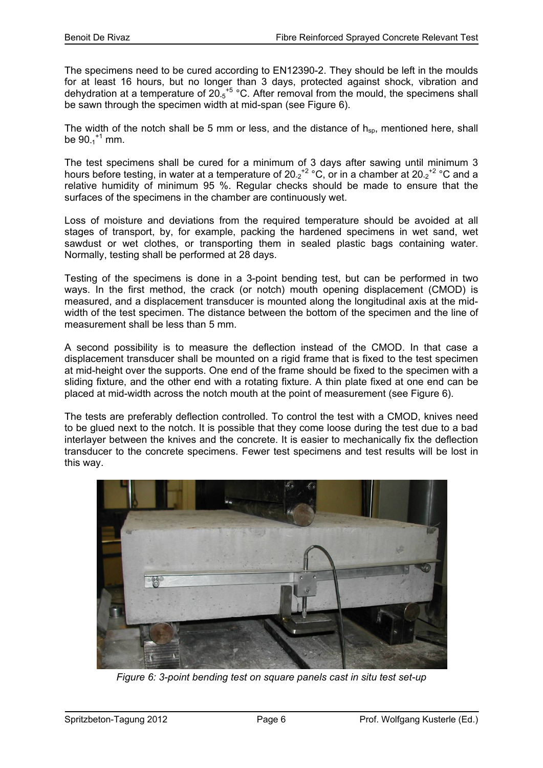The specimens need to be cured according to EN12390-2. They should be left in the moulds for at least 16 hours, but no longer than 3 days, protected against shock, vibration and dehydration at a temperature of  $20.5^{+5}$  °C. After removal from the mould, the specimens shall be sawn through the specimen width at mid-span (see Figure 6).

The width of the notch shall be 5 mm or less, and the distance of  $h_{sn}$ , mentioned here, shall be  $90_{-1}$ <sup>+1</sup> mm.

The test specimens shall be cured for a minimum of 3 days after sawing until minimum 3 hours before testing, in water at a temperature of  $20.2^{+2}$  °C, or in a chamber at  $20.2^{+2}$  °C and a relative humidity of minimum 95 %. Regular checks should be made to ensure that the surfaces of the specimens in the chamber are continuously wet.

Loss of moisture and deviations from the required temperature should be avoided at all stages of transport, by, for example, packing the hardened specimens in wet sand, wet sawdust or wet clothes, or transporting them in sealed plastic bags containing water. Normally, testing shall be performed at 28 days.

Testing of the specimens is done in a 3-point bending test, but can be performed in two ways. In the first method, the crack (or notch) mouth opening displacement (CMOD) is measured, and a displacement transducer is mounted along the longitudinal axis at the midwidth of the test specimen. The distance between the bottom of the specimen and the line of measurement shall be less than 5 mm.

A second possibility is to measure the deflection instead of the CMOD. In that case a displacement transducer shall be mounted on a rigid frame that is fixed to the test specimen at mid-height over the supports. One end of the frame should be fixed to the specimen with a sliding fixture, and the other end with a rotating fixture. A thin plate fixed at one end can be placed at mid-width across the notch mouth at the point of measurement (see Figure 6).

The tests are preferably deflection controlled. To control the test with a CMOD, knives need to be glued next to the notch. It is possible that they come loose during the test due to a bad interlayer between the knives and the concrete. It is easier to mechanically fix the deflection transducer to the concrete specimens. Fewer test specimens and test results will be lost in this way.



*Figure 6: 3-point bending test on square panels cast in situ test set-up*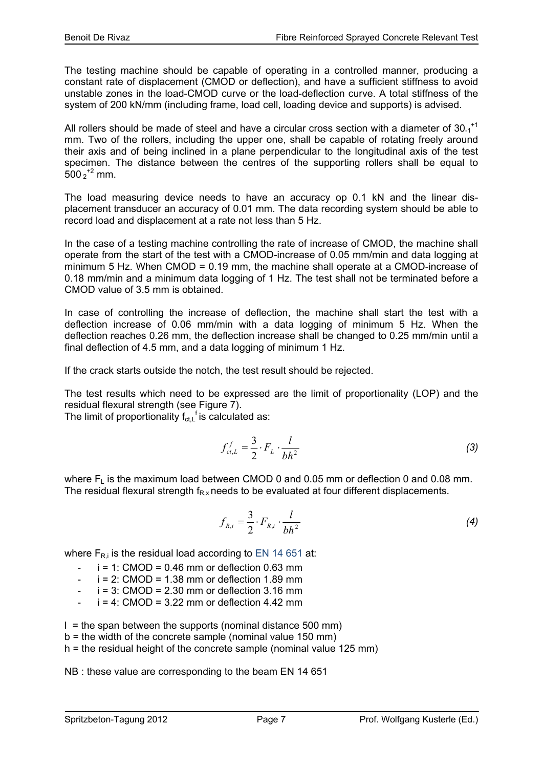The testing machine should be capable of operating in a controlled manner, producing a constant rate of displacement (CMOD or deflection), and have a sufficient stiffness to avoid unstable zones in the load-CMOD curve or the load-deflection curve. A total stiffness of the system of 200 kN/mm (including frame, load cell, loading device and supports) is advised.

All rollers should be made of steel and have a circular cross section with a diameter of  $30_{-1}$ <sup>+1</sup> mm. Two of the rollers, including the upper one, shall be capable of rotating freely around their axis and of being inclined in a plane perpendicular to the longitudinal axis of the test specimen. The distance between the centres of the supporting rollers shall be equal to  $500\,2^{+2}$  mm.

The load measuring device needs to have an accuracy op 0.1 kN and the linear displacement transducer an accuracy of 0.01 mm. The data recording system should be able to record load and displacement at a rate not less than 5 Hz.

In the case of a testing machine controlling the rate of increase of CMOD, the machine shall operate from the start of the test with a CMOD-increase of 0.05 mm/min and data logging at minimum 5 Hz. When CMOD = 0.19 mm, the machine shall operate at a CMOD-increase of 0.18 mm/min and a minimum data logging of 1 Hz. The test shall not be terminated before a CMOD value of 3.5 mm is obtained.

In case of controlling the increase of deflection, the machine shall start the test with a deflection increase of 0.06 mm/min with a data logging of minimum 5 Hz. When the deflection reaches 0.26 mm, the deflection increase shall be changed to 0.25 mm/min until a final deflection of 4.5 mm, and a data logging of minimum 1 Hz.

If the crack starts outside the notch, the test result should be rejected.

The test results which need to be expressed are the limit of proportionality (LOP) and the residual flexural strength (see Figure 7).

The limit of proportionality  $f_{ct,L}$ <sup>f</sup> is calculated as:

$$
f_{ct,L}^f = \frac{3}{2} \cdot F_L \cdot \frac{l}{bh^2} \tag{3}
$$

where  $F_L$  is the maximum load between CMOD 0 and 0.05 mm or deflection 0 and 0.08 mm. The residual flexural strength  $f_{Rx}$  needs to be evaluated at four different displacements.

$$
f_{R,i} = \frac{3}{2} \cdot F_{R,i} \cdot \frac{l}{bh^2} \tag{4}
$$

where  $F_{\text{R}i}$  is the residual load according to EN 14 651 at:

- $i = 1$ : CMOD = 0.46 mm or deflection 0.63 mm
- $i = 2$ : CMOD = 1.38 mm or deflection 1.89 mm
- $i = 3$ : CMOD = 2.30 mm or deflection 3.16 mm
- $i = 4$ : CMOD = 3.22 mm or deflection 4.42 mm

 $l =$  the span between the supports (nominal distance 500 mm)

b = the width of the concrete sample (nominal value 150 mm)

h = the residual height of the concrete sample (nominal value 125 mm)

NB : these value are corresponding to the beam EN 14 651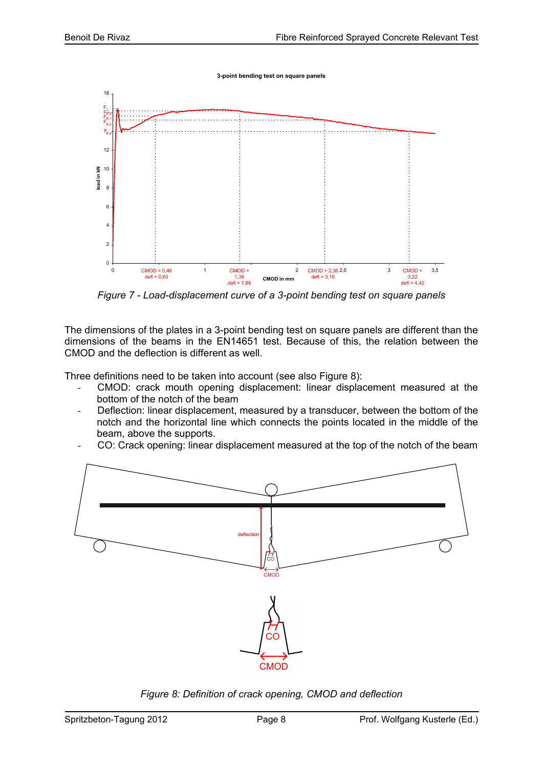**3-point bending test on square panels**



*Figure 7 - Load-displacement curve of a 3-point bending test on square panels* 

The dimensions of the plates in a 3-point bending test on square panels are different than the dimensions of the beams in the EN14651 test. Because of this, the relation between the CMOD and the deflection is different as well.

Three definitions need to be taken into account (see also Figure 8):

- CMOD: crack mouth opening displacement: linear displacement measured at the bottom of the notch of the beam
- Deflection: linear displacement, measured by a transducer, between the bottom of the notch and the horizontal line which connects the points located in the middle of the beam, above the supports.
- CO: Crack opening: linear displacement measured at the top of the notch of the beam



*Figure 8: Definition of crack opening, CMOD and deflection*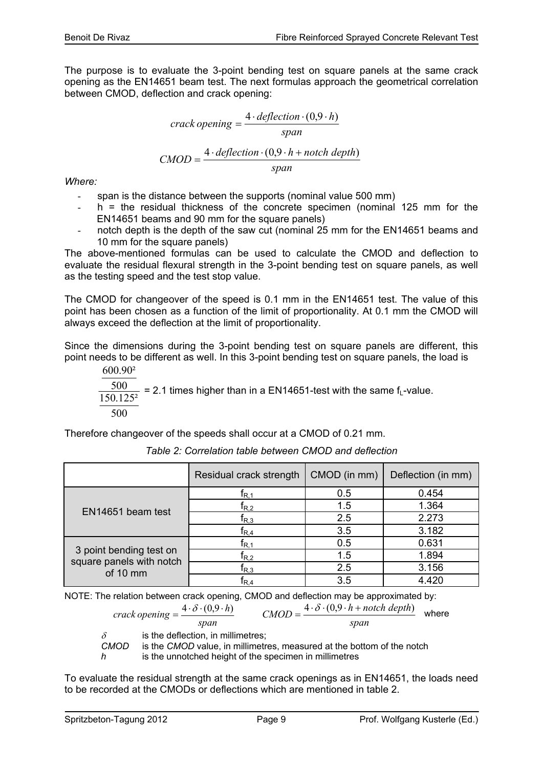The purpose is to evaluate the 3-point bending test on square panels at the same crack opening as the EN14651 beam test. The next formulas approach the geometrical correlation between CMOD, deflection and crack opening:

$$
crack opening = \frac{4 \cdot deflection \cdot (0,9 \cdot h)}{span}
$$

$$
CMOD = \frac{4 \cdot deflection \cdot (0,9 \cdot h + notch depth)}{span}
$$

*Where:* 

- span is the distance between the supports (nominal value 500 mm)
- $h =$  the residual thickness of the concrete specimen (nominal 125 mm for the EN14651 beams and 90 mm for the square panels)
- notch depth is the depth of the saw cut (nominal 25 mm for the EN14651 beams and 10 mm for the square panels)

The above-mentioned formulas can be used to calculate the CMOD and deflection to evaluate the residual flexural strength in the 3-point bending test on square panels, as well as the testing speed and the test stop value.

The CMOD for changeover of the speed is 0.1 mm in the EN14651 test. The value of this point has been chosen as a function of the limit of proportionality. At 0.1 mm the CMOD will always exceed the deflection at the limit of proportionality.

Since the dimensions during the 3-point bending test on square panels are different, this point needs to be different as well. In this 3-point bending test on square panels, the load is

500  $150.125^2$ 500 600.90²  $= 2.1$  times higher than in a EN14651-test with the same  $f<sub>L</sub>$ -value.

Therefore changeover of the speeds shall occur at a CMOD of 0.21 mm.

|                                                                 | Residual crack strength              | CMOD (in mm) | Deflection (in mm) |
|-----------------------------------------------------------------|--------------------------------------|--------------|--------------------|
| EN <sub>14651</sub> beam test                                   | $\mathsf{t}_{\mathsf{R},\mathsf{1}}$ | 0.5          | 0.454              |
|                                                                 | $\mathsf{t}_{\mathsf{R},2}$          | 1.5          | 1.364              |
|                                                                 | $\mathsf{f}_{\mathsf{R},3}$          | 2.5          | 2.273              |
|                                                                 | $\mathsf{f}_{\mathsf{R},4}$          | 3.5          | 3.182              |
| 3 point bending test on<br>square panels with notch<br>of 10 mm | $\mathsf{t}_{\mathsf{R},\mathsf{1}}$ | 0.5          | 0.631              |
|                                                                 | $\mathsf{f}_{\mathsf{R},2}$          | 1.5          | 1.894              |
|                                                                 | $\textsf{t}_{\mathsf{R},3}$          | 2.5          | 3.156              |
|                                                                 | $\mathsf{f}_{\mathsf{R},\mathsf{4}}$ | 3.5          | 4.420              |

*Table 2: Correlation table between CMOD and deflection* 

NOTE: The relation between crack opening, CMOD and deflection may be approximated by:

$$
crack opening = \frac{4 \cdot \delta \cdot (0.9 \cdot h)}{span} \qquad CMOD = \frac{4 \cdot \delta \cdot (0.9 \cdot h + \text{notch depth})}{span} \quad \text{where}
$$

 $δ$  is the deflection, in millimetres;<br>CMOD is the CMOD value, in millimetr *is the CMOD* value, in millimetres, measured at the bottom of the notch

*h* is the unnotched height of the specimen in millimetres

To evaluate the residual strength at the same crack openings as in EN14651, the loads need to be recorded at the CMODs or deflections which are mentioned in table 2.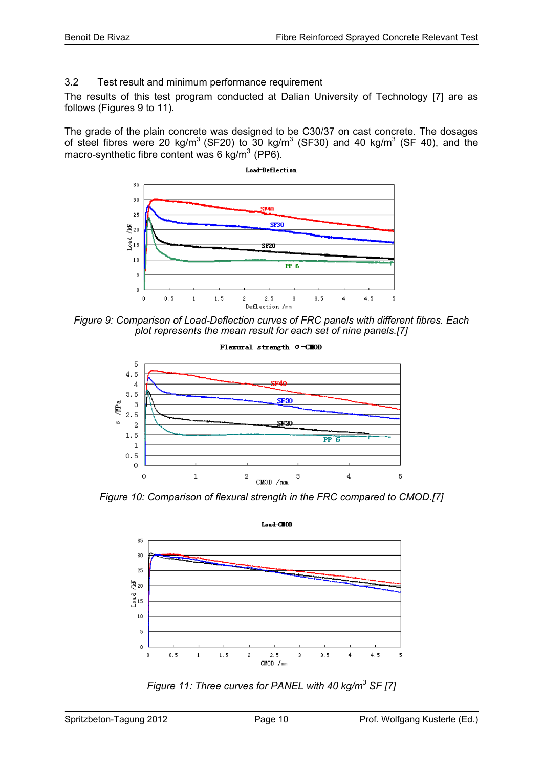# 3.2 Test result and minimum performance requirement

The results of this test program conducted at Dalian University of Technology [7] are as follows (Figures 9 to 11).

The grade of the plain concrete was designed to be C30/37 on cast concrete. The dosages of steel fibres were 20 kg/m<sup>3</sup> (SF20) to 30 kg/m<sup>3</sup> (SF30) and 40 kg/m<sup>3</sup> (SF 40), and the macro-synthetic fibre content was 6 kg/m<sup>3</sup> (PP6).



*Figure 9: Comparison of Load-Deflection curves of FRC panels with different fibres. Each plot represents the mean result for each set of nine panels.[7]* 



*Figure 10: Comparison of flexural strength in the FRC compared to CMOD.[7]* 



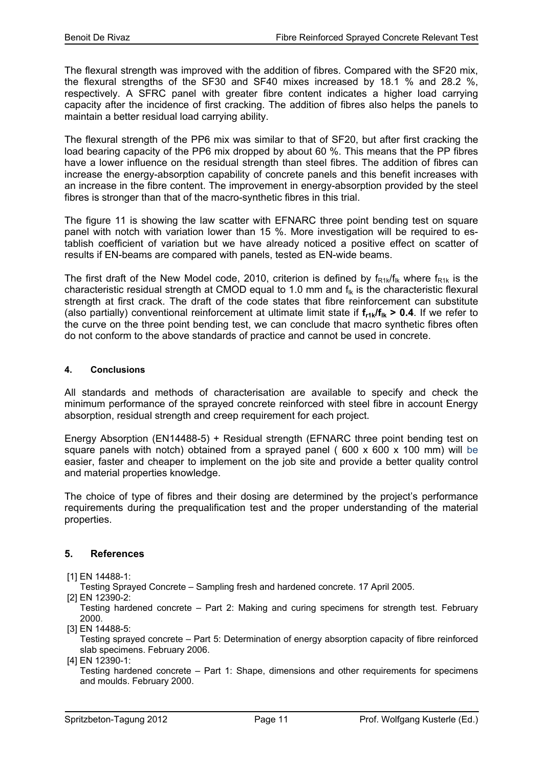The flexural strength was improved with the addition of fibres. Compared with the SF20 mix, the flexural strengths of the SF30 and SF40 mixes increased by 18.1 % and 28.2 %, respectively. A SFRC panel with greater fibre content indicates a higher load carrying capacity after the incidence of first cracking. The addition of fibres also helps the panels to maintain a better residual load carrying ability.

The flexural strength of the PP6 mix was similar to that of SF20, but after first cracking the load bearing capacity of the PP6 mix dropped by about 60 %. This means that the PP fibres have a lower influence on the residual strength than steel fibres. The addition of fibres can increase the energy-absorption capability of concrete panels and this benefit increases with an increase in the fibre content. The improvement in energy-absorption provided by the steel fibres is stronger than that of the macro-synthetic fibres in this trial.

The figure 11 is showing the law scatter with EFNARC three point bending test on square panel with notch with variation lower than 15 %. More investigation will be required to establish coefficient of variation but we have already noticed a positive effect on scatter of results if EN-beams are compared with panels, tested as EN-wide beams.

The first draft of the New Model code, 2010, criterion is defined by  $f_{R1k}/f_{lk}$  where  $f_{R1k}$  is the characteristic residual strength at CMOD equal to 1.0 mm and  $f_{ik}$  is the characteristic flexural strength at first crack. The draft of the code states that fibre reinforcement can substitute (also partially) conventional reinforcement at ultimate limit state if  $f_{r1k}/f_{1k} > 0.4$ . If we refer to the curve on the three point bending test, we can conclude that macro synthetic fibres often do not conform to the above standards of practice and cannot be used in concrete.

# **4. Conclusions**

All standards and methods of characterisation are available to specify and check the minimum performance of the sprayed concrete reinforced with steel fibre in account Energy absorption, residual strength and creep requirement for each project.

Energy Absorption (EN14488-5) + Residual strength (EFNARC three point bending test on square panels with notch) obtained from a sprayed panel ( $600 \times 600 \times 100$  mm) will be easier, faster and cheaper to implement on the job site and provide a better quality control and material properties knowledge.

The choice of type of fibres and their dosing are determined by the project's performance requirements during the prequalification test and the proper understanding of the material properties.

# **5. References**

[1] EN 14488-1:

Testing Sprayed Concrete – Sampling fresh and hardened concrete. 17 April 2005.

[2] EN 12390-2:

Testing hardened concrete – Part 2: Making and curing specimens for strength test. February 2000.

[3] EN 14488-5:

Testing sprayed concrete – Part 5: Determination of energy absorption capacity of fibre reinforced slab specimens. February 2006.

[4] EN 12390-1:

Testing hardened concrete – Part 1: Shape, dimensions and other requirements for specimens and moulds. February 2000.